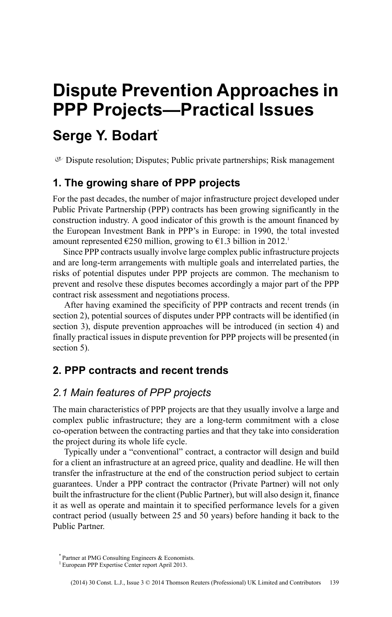# **Dispute Prevention Approaches in PPP Projects—Practical Issues**

## **Serge Y. Bodart\***

 $\mathcal{P}$  Dispute resolution; Disputes; Public private partnerships; Risk management

## **1. The growing share of PPP projects**

For the past decades, the number of major infrastructure project developed under Public Private Partnership (PPP) contracts has been growing significantly in the construction industry. A good indicator of this growth is the amount financed by the European Investment Bank in PPP's in Europe: in 1990, the total invested amount represented  $\epsilon$ 250 million, growing to  $\epsilon$ 1.3 billion in 2012.<sup>1</sup>

Since PPP contracts usually involve large complex public infrastructure projects and are long-term arrangements with multiple goals and interrelated parties, the risks of potential disputes under PPP projects are common. The mechanism to prevent and resolve these disputes becomes accordingly a major part of the PPP contract risk assessment and negotiations process.

After having examined the specificity of PPP contracts and recent trends (in section 2), potential sources of disputes under PPP contracts will be identified (in section 3), dispute prevention approaches will be introduced (in section 4) and finally practical issues in dispute prevention for PPP projects will be presented (in section 5).

## **2. PPP contracts and recent trends**

#### *2.1 Main features of PPP projects*

The main characteristics of PPP projects are that they usually involve a large and complex public infrastructure; they are a long-term commitment with a close co-operation between the contracting parties and that they take into consideration the project during its whole life cycle.

Typically under a "conventional" contract, a contractor will design and build for a client an infrastructure at an agreed price, quality and deadline. He will then transfer the infrastructure at the end of the construction period subject to certain guarantees. Under a PPP contract the contractor (Private Partner) will not only built the infrastructure for the client (Public Partner), but will also design it, finance it as well as operate and maintain it to specified performance levels for a given contract period (usually between 25 and 50 years) before handing it back to the Public Partner.

<sup>\*</sup> Partner at PMG Consulting Engineers & Economists.

<sup>&</sup>lt;sup>1</sup> European PPP Expertise Center report April 2013.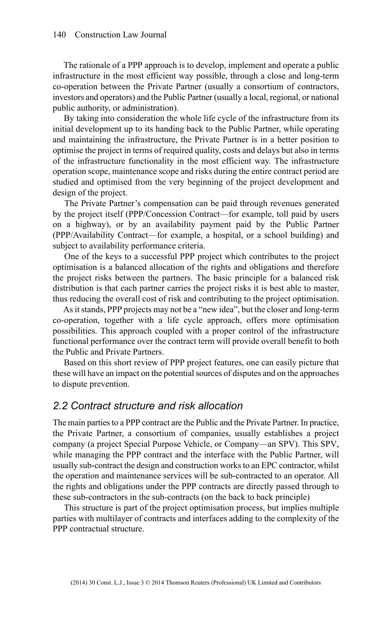The rationale of a PPP approach is to develop, implement and operate a public infrastructure in the most efficient way possible, through a close and long-term co-operation between the Private Partner (usually a consortium of contractors, investors and operators) and the Public Partner (usually a local, regional, or national public authority, or administration).

By taking into consideration the whole life cycle of the infrastructure from its initial development up to its handing back to the Public Partner, while operating and maintaining the infrastructure, the Private Partner is in a better position to optimise the project in terms of required quality, costs and delays but also in terms of the infrastructure functionality in the most efficient way. The infrastructure operation scope, maintenance scope and risks during the entire contract period are studied and optimised from the very beginning of the project development and design of the project.

The Private Partner's compensation can be paid through revenues generated by the project itself (PPP/Concession Contract—for example, toll paid by users on a highway), or by an availability payment paid by the Public Partner (PPP/Availability Contract—for example, a hospital, or a school building) and subject to availability performance criteria.

One of the keys to a successful PPP project which contributes to the project optimisation is a balanced allocation of the rights and obligations and therefore the project risks between the partners. The basic principle for a balanced risk distribution is that each partner carries the project risks it is best able to master, thus reducing the overall cost of risk and contributing to the project optimisation.

As it stands, PPP projects may not be a "new idea", but the closer and long-term co-operation, together with a life cycle approach, offers more optimisation possibilities. This approach coupled with a proper control of the infrastructure functional performance over the contract term will provide overall benefit to both the Public and Private Partners.

Based on this short review of PPP project features, one can easily picture that these will have an impact on the potential sources of disputes and on the approaches to dispute prevention.

#### *2.2 Contract structure and risk allocation*

The main parties to a PPP contract are the Public and the Private Partner. In practice, the Private Partner, a consortium of companies, usually establishes a project company (a project Special Purpose Vehicle, or Company—an SPV). This SPV, while managing the PPP contract and the interface with the Public Partner, will usually sub-contract the design and construction works to an EPC contractor, whilst the operation and maintenance services will be sub-contracted to an operator. All the rights and obligations under the PPP contracts are directly passed through to these sub-contractors in the sub-contracts (on the back to back principle)

This structure is part of the project optimisation process, but implies multiple parties with multilayer of contracts and interfaces adding to the complexity of the PPP contractual structure.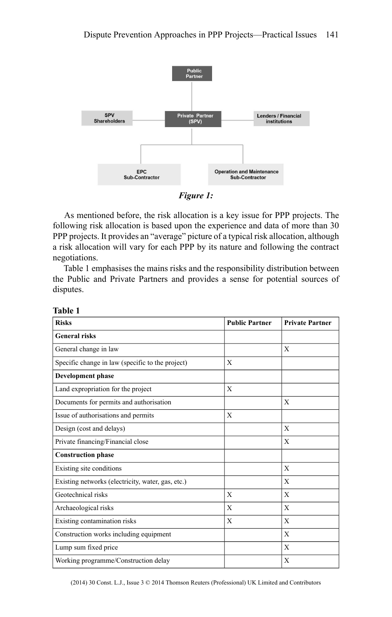

*Figure 1:*

As mentioned before, the risk allocation is a key issue for PPP projects. The following risk allocation is based upon the experience and data of more than 30 PPP projects. It provides an "average" picture of a typical risk allocation, although a risk allocation will vary for each PPP by its nature and following the contract negotiations.

Table 1 emphasises the mains risks and the responsibility distribution between the Public and Private Partners and provides a sense for potential sources of disputes.

| <b>Risks</b>                                      | <b>Public Partner</b> | <b>Private Partner</b> |
|---------------------------------------------------|-----------------------|------------------------|
| <b>General risks</b>                              |                       |                        |
| General change in law                             |                       | X                      |
| Specific change in law (specific to the project)  | X                     |                        |
| <b>Development phase</b>                          |                       |                        |
| Land expropriation for the project                | $\mathbf{X}$          |                        |
| Documents for permits and authorisation           |                       | $\mathbf{X}$           |
| Issue of authorisations and permits               | $\mathbf{X}$          |                        |
| Design (cost and delays)                          |                       | $\mathbf{X}$           |
| Private financing/Financial close                 |                       | $\mathbf{X}$           |
| <b>Construction phase</b>                         |                       |                        |
| Existing site conditions                          |                       | $\mathbf{X}$           |
| Existing networks (electricity, water, gas, etc.) |                       | X                      |
| Geotechnical risks                                | X                     | $\mathbf{X}$           |
| Archaeological risks                              | X                     | $\mathbf{X}$           |
| Existing contamination risks                      | X                     | $\mathbf{X}$           |
| Construction works including equipment            |                       | $\mathbf{X}$           |
| Lump sum fixed price                              |                       | $\mathbf{X}$           |
| Working programme/Construction delay              |                       | $\mathbf{X}$           |

**Table 1**

(2014) 30 Const. L.J., Issue 3 © 2014 Thomson Reuters (Professional) UK Limited and Contributors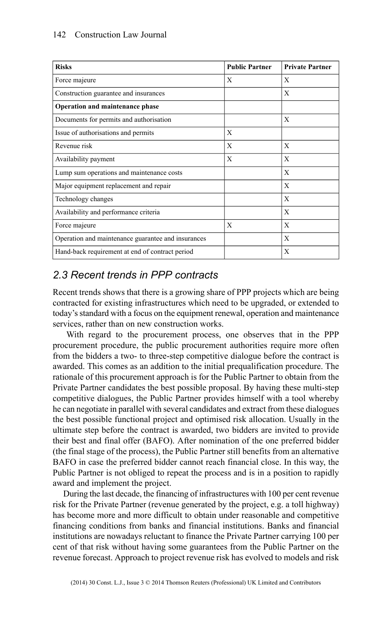#### 142 Construction Law Journal

| <b>Risks</b>                                       | <b>Public Partner</b> | <b>Private Partner</b> |
|----------------------------------------------------|-----------------------|------------------------|
| Force majeure                                      | X                     | X                      |
| Construction guarantee and insurances              |                       | X                      |
| Operation and maintenance phase                    |                       |                        |
| Documents for permits and authorisation            |                       | X                      |
| Issue of authorisations and permits                | X                     |                        |
| Revenue risk                                       | X                     | X                      |
| Availability payment                               | X                     | X                      |
| Lump sum operations and maintenance costs          |                       | X                      |
| Major equipment replacement and repair             |                       | X                      |
| Technology changes                                 |                       | X                      |
| Availability and performance criteria              |                       | X                      |
| Force majeure                                      | X                     | X                      |
| Operation and maintenance guarantee and insurances |                       | X                      |
| Hand-back requirement at end of contract period    |                       | $\mathbf{X}$           |

## *2.3 Recent trends in PPP contracts*

Recent trends shows that there is a growing share of PPP projects which are being contracted for existing infrastructures which need to be upgraded, or extended to today's standard with a focus on the equipment renewal, operation and maintenance services, rather than on new construction works.

With regard to the procurement process, one observes that in the PPP procurement procedure, the public procurement authorities require more often from the bidders a two- to three-step competitive dialogue before the contract is awarded. This comes as an addition to the initial prequalification procedure. The rationale of this procurement approach is for the Public Partner to obtain from the Private Partner candidates the best possible proposal. By having these multi-step competitive dialogues, the Public Partner provides himself with a tool whereby he can negotiate in parallel with several candidates and extract from these dialogues the best possible functional project and optimised risk allocation. Usually in the ultimate step before the contract is awarded, two bidders are invited to provide their best and final offer (BAFO). After nomination of the one preferred bidder (the final stage of the process), the Public Partner still benefits from an alternative BAFO in case the preferred bidder cannot reach financial close. In this way, the Public Partner is not obliged to repeat the process and is in a position to rapidly award and implement the project.

During the last decade, the financing of infrastructures with 100 per cent revenue risk for the Private Partner (revenue generated by the project, e.g. a toll highway) has become more and more difficult to obtain under reasonable and competitive financing conditions from banks and financial institutions. Banks and financial institutions are nowadays reluctant to finance the Private Partner carrying 100 per cent of that risk without having some guarantees from the Public Partner on the revenue forecast. Approach to project revenue risk has evolved to models and risk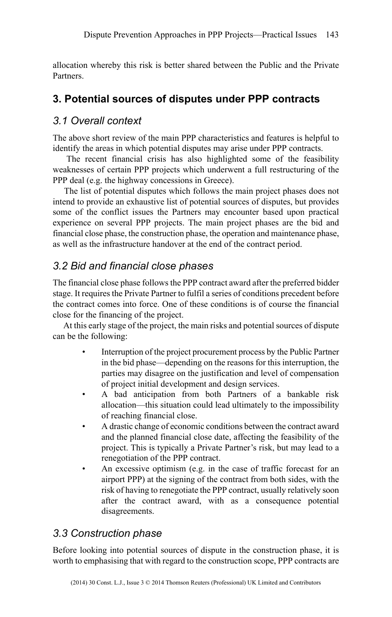allocation whereby this risk is better shared between the Public and the Private Partners.

## **3. Potential sources of disputes under PPP contracts**

### *3.1 Overall context*

The above short review of the main PPP characteristics and features is helpful to identify the areas in which potential disputes may arise under PPP contracts.

The recent financial crisis has also highlighted some of the feasibility weaknesses of certain PPP projects which underwent a full restructuring of the PPP deal (e.g. the highway concessions in Greece).

The list of potential disputes which follows the main project phases does not intend to provide an exhaustive list of potential sources of disputes, but provides some of the conflict issues the Partners may encounter based upon practical experience on several PPP projects. The main project phases are the bid and financial close phase, the construction phase, the operation and maintenance phase, as well as the infrastructure handover at the end of the contract period.

## *3.2 Bid and financial close phases*

The financial close phase follows the PPP contract award after the preferred bidder stage. It requires the Private Partner to fulfil a series of conditions precedent before the contract comes into force. One of these conditions is of course the financial close for the financing of the project.

At this early stage of the project, the main risks and potential sources of dispute can be the following:

- Interruption of the project procurement process by the Public Partner in the bid phase—depending on the reasons for this interruption, the parties may disagree on the justification and level of compensation of project initial development and design services.
- A bad anticipation from both Partners of a bankable risk allocation—this situation could lead ultimately to the impossibility of reaching financial close.
- A drastic change of economic conditions between the contract award and the planned financial close date, affecting the feasibility of the project. This is typically a Private Partner's risk, but may lead to a renegotiation of the PPP contract.
- An excessive optimism (e.g. in the case of traffic forecast for an airport PPP) at the signing of the contract from both sides, with the risk of having to renegotiate the PPP contract, usually relatively soon after the contract award, with as a consequence potential disagreements.

## *3.3 Construction phase*

Before looking into potential sources of dispute in the construction phase, it is worth to emphasising that with regard to the construction scope, PPP contracts are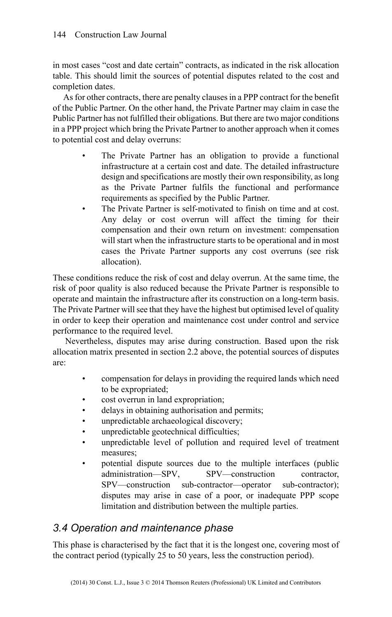in most cases "cost and date certain" contracts, as indicated in the risk allocation table. This should limit the sources of potential disputes related to the cost and completion dates.

As for other contracts, there are penalty clauses in a PPP contract for the benefit of the Public Partner. On the other hand, the Private Partner may claim in case the Public Partner has not fulfilled their obligations. But there are two major conditions in a PPP project which bring the Private Partner to another approach when it comes to potential cost and delay overruns:

- The Private Partner has an obligation to provide a functional infrastructure at a certain cost and date. The detailed infrastructure design and specifications are mostly their own responsibility, as long as the Private Partner fulfils the functional and performance requirements as specified by the Public Partner.
- The Private Partner is self-motivated to finish on time and at cost. Any delay or cost overrun will affect the timing for their compensation and their own return on investment: compensation will start when the infrastructure starts to be operational and in most cases the Private Partner supports any cost overruns (see risk allocation).

These conditions reduce the risk of cost and delay overrun. At the same time, the risk of poor quality is also reduced because the Private Partner is responsible to operate and maintain the infrastructure after its construction on a long-term basis. The Private Partner will see that they have the highest but optimised level of quality in order to keep their operation and maintenance cost under control and service performance to the required level.

Nevertheless, disputes may arise during construction. Based upon the risk allocation matrix presented in section 2.2 above, the potential sources of disputes are:

- compensation for delays in providing the required lands which need to be expropriated;
- cost overrun in land expropriation;
- delays in obtaining authorisation and permits;
- unpredictable archaeological discovery;
- unpredictable geotechnical difficulties;
- unpredictable level of pollution and required level of treatment measures;
- potential dispute sources due to the multiple interfaces (public administration—SPV, SPV—construction contractor, SPV—construction sub-contractor—operator sub-contractor); disputes may arise in case of a poor, or inadequate PPP scope limitation and distribution between the multiple parties.

## *3.4 Operation and maintenance phase*

This phase is characterised by the fact that it is the longest one, covering most of the contract period (typically 25 to 50 years, less the construction period).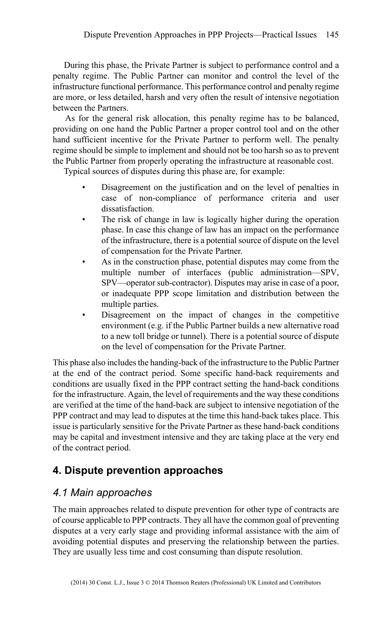During this phase, the Private Partner is subject to performance control and a penalty regime. The Public Partner can monitor and control the level of the infrastructure functional performance. This performance control and penalty regime are more, or less detailed, harsh and very often the result of intensive negotiation between the Partners.

As for the general risk allocation, this penalty regime has to be balanced, providing on one hand the Public Partner a proper control tool and on the other hand sufficient incentive for the Private Partner to perform well. The penalty regime should be simple to implement and should not be too harsh so as to prevent the Public Partner from properly operating the infrastructure at reasonable cost.

Typical sources of disputes during this phase are, for example:

- Disagreement on the justification and on the level of penalties in case of non-compliance of performance criteria and user dissatisfaction.
- The risk of change in law is logically higher during the operation phase. In case this change of law has an impact on the performance of the infrastructure, there is a potential source of dispute on the level of compensation for the Private Partner.
- As in the construction phase, potential disputes may come from the multiple number of interfaces (public administration—SPV, SPV—operator sub-contractor). Disputes may arise in case of a poor, or inadequate PPP scope limitation and distribution between the multiple parties.
- Disagreement on the impact of changes in the competitive environment (e.g. if the Public Partner builds a new alternative road to a new toll bridge or tunnel). There is a potential source of dispute on the level of compensation for the Private Partner.

This phase also includes the handing-back of the infrastructure to the Public Partner at the end of the contract period. Some specific hand-back requirements and conditions are usually fixed in the PPP contract setting the hand-back conditions for the infrastructure. Again, the level of requirements and the way these conditions are verified at the time of the hand-back are subject to intensive negotiation of the PPP contract and may lead to disputes at the time this hand-back takes place. This issue is particularly sensitive for the Private Partner as these hand-back conditions may be capital and investment intensive and they are taking place at the very end of the contract period.

## **4. Dispute prevention approaches**

## *4.1 Main approaches*

The main approaches related to dispute prevention for other type of contracts are of course applicable to PPP contracts. They all have the common goal of preventing disputes at a very early stage and providing informal assistance with the aim of avoiding potential disputes and preserving the relationship between the parties. They are usually less time and cost consuming than dispute resolution.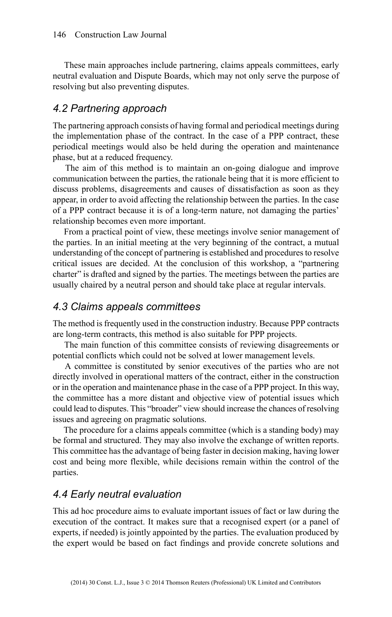These main approaches include partnering, claims appeals committees, early neutral evaluation and Dispute Boards, which may not only serve the purpose of resolving but also preventing disputes.

#### *4.2 Partnering approach*

The partnering approach consists of having formal and periodical meetings during the implementation phase of the contract. In the case of a PPP contract, these periodical meetings would also be held during the operation and maintenance phase, but at a reduced frequency.

The aim of this method is to maintain an on-going dialogue and improve communication between the parties, the rationale being that it is more efficient to discuss problems, disagreements and causes of dissatisfaction as soon as they appear, in order to avoid affecting the relationship between the parties. In the case of a PPP contract because it is of a long-term nature, not damaging the parties' relationship becomes even more important.

From a practical point of view, these meetings involve senior management of the parties. In an initial meeting at the very beginning of the contract, a mutual understanding of the concept of partnering is established and procedures to resolve critical issues are decided. At the conclusion of this workshop, a "partnering charter" is drafted and signed by the parties. The meetings between the parties are usually chaired by a neutral person and should take place at regular intervals.

#### *4.3 Claims appeals committees*

The method is frequently used in the construction industry. Because PPP contracts are long-term contracts, this method is also suitable for PPP projects.

The main function of this committee consists of reviewing disagreements or potential conflicts which could not be solved at lower management levels.

A committee is constituted by senior executives of the parties who are not directly involved in operational matters of the contract, either in the construction or in the operation and maintenance phase in the case of a PPP project. In this way, the committee has a more distant and objective view of potential issues which could lead to disputes. This "broader" view should increase the chances of resolving issues and agreeing on pragmatic solutions.

The procedure for a claims appeals committee (which is a standing body) may be formal and structured. They may also involve the exchange of written reports. This committee has the advantage of being faster in decision making, having lower cost and being more flexible, while decisions remain within the control of the parties.

#### *4.4 Early neutral evaluation*

This ad hoc procedure aims to evaluate important issues of fact or law during the execution of the contract. It makes sure that a recognised expert (or a panel of experts, if needed) is jointly appointed by the parties. The evaluation produced by the expert would be based on fact findings and provide concrete solutions and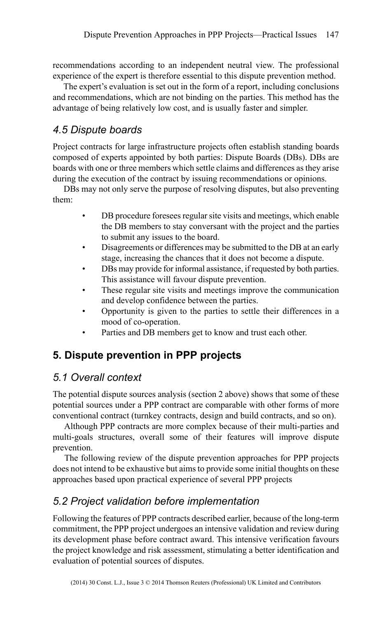recommendations according to an independent neutral view. The professional experience of the expert is therefore essential to this dispute prevention method.

The expert's evaluation is set out in the form of a report, including conclusions and recommendations, which are not binding on the parties. This method has the advantage of being relatively low cost, and is usually faster and simpler.

## *4.5 Dispute boards*

Project contracts for large infrastructure projects often establish standing boards composed of experts appointed by both parties: Dispute Boards (DBs). DBs are boards with one or three members which settle claims and differences as they arise during the execution of the contract by issuing recommendations or opinions.

DBs may not only serve the purpose of resolving disputes, but also preventing them:

- DB procedure foresees regular site visits and meetings, which enable the DB members to stay conversant with the project and the parties to submit any issues to the board.
- Disagreements or differences may be submitted to the DB at an early stage, increasing the chances that it does not become a dispute.
- DBs may provide for informal assistance, if requested by both parties. This assistance will favour dispute prevention.
- These regular site visits and meetings improve the communication and develop confidence between the parties.
- Opportunity is given to the parties to settle their differences in a mood of co-operation.
- Parties and DB members get to know and trust each other.

## **5. Dispute prevention in PPP projects**

## *5.1 Overall context*

The potential dispute sources analysis (section 2 above) shows that some of these potential sources under a PPP contract are comparable with other forms of more conventional contract (turnkey contracts, design and build contracts, and so on).

Although PPP contracts are more complex because of their multi-parties and multi-goals structures, overall some of their features will improve dispute prevention.

The following review of the dispute prevention approaches for PPP projects does not intend to be exhaustive but aims to provide some initial thoughts on these approaches based upon practical experience of several PPP projects

## *5.2 Project validation before implementation*

Following the features of PPP contracts described earlier, because of the long-term commitment, the PPP project undergoes an intensive validation and review during its development phase before contract award. This intensive verification favours the project knowledge and risk assessment, stimulating a better identification and evaluation of potential sources of disputes.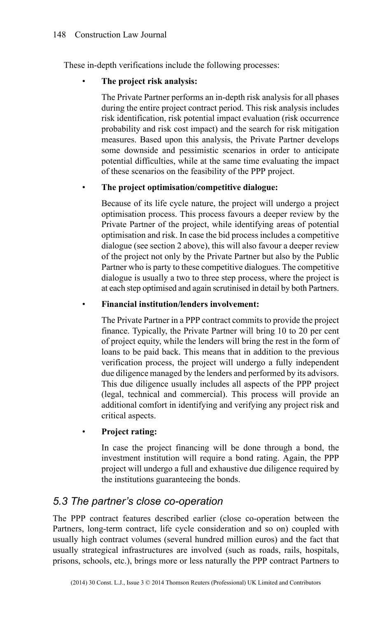These in-depth verifications include the following processes:

#### • **The project risk analysis:**

The Private Partner performs an in-depth risk analysis for all phases during the entire project contract period. This risk analysis includes risk identification, risk potential impact evaluation (risk occurrence probability and risk cost impact) and the search for risk mitigation measures. Based upon this analysis, the Private Partner develops some downside and pessimistic scenarios in order to anticipate potential difficulties, while at the same time evaluating the impact of these scenarios on the feasibility of the PPP project.

#### • **The project optimisation/competitive dialogue:**

Because of its life cycle nature, the project will undergo a project optimisation process. This process favours a deeper review by the Private Partner of the project, while identifying areas of potential optimisation and risk. In case the bid process includes a competitive dialogue (see section 2 above), this will also favour a deeper review of the project not only by the Private Partner but also by the Public Partner who is party to these competitive dialogues. The competitive dialogue is usually a two to three step process, where the project is at each step optimised and again scrutinised in detail by both Partners.

• **Financial institution/lenders involvement:**

The Private Partner in a PPP contract commits to provide the project finance. Typically, the Private Partner will bring 10 to 20 per cent of project equity, while the lenders will bring the rest in the form of loans to be paid back. This means that in addition to the previous verification process, the project will undergo a fully independent due diligence managed by the lenders and performed by its advisors. This due diligence usually includes all aspects of the PPP project (legal, technical and commercial). This process will provide an additional comfort in identifying and verifying any project risk and critical aspects.

#### • **Project rating:**

In case the project financing will be done through a bond, the investment institution will require a bond rating. Again, the PPP project will undergo a full and exhaustive due diligence required by the institutions guaranteeing the bonds.

## *5.3 The partner's close co-operation*

The PPP contract features described earlier (close co-operation between the Partners, long-term contract, life cycle consideration and so on) coupled with usually high contract volumes (several hundred million euros) and the fact that usually strategical infrastructures are involved (such as roads, rails, hospitals, prisons, schools, etc.), brings more or less naturally the PPP contract Partners to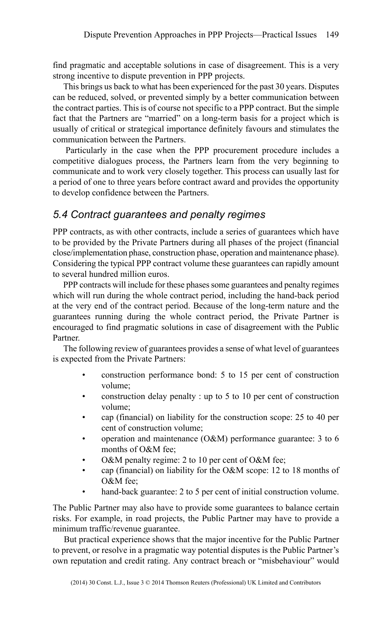find pragmatic and acceptable solutions in case of disagreement. This is a very strong incentive to dispute prevention in PPP projects.

This brings us back to what has been experienced for the past 30 years. Disputes can be reduced, solved, or prevented simply by a better communication between the contract parties. This is of course not specific to a PPP contract. But the simple fact that the Partners are "married" on a long-term basis for a project which is usually of critical or strategical importance definitely favours and stimulates the communication between the Partners.

Particularly in the case when the PPP procurement procedure includes a competitive dialogues process, the Partners learn from the very beginning to communicate and to work very closely together. This process can usually last for a period of one to three years before contract award and provides the opportunity to develop confidence between the Partners.

## *5.4 Contract guarantees and penalty regimes*

PPP contracts, as with other contracts, include a series of guarantees which have to be provided by the Private Partners during all phases of the project (financial close/implementation phase, construction phase, operation and maintenance phase). Considering the typical PPP contract volume these guarantees can rapidly amount to several hundred million euros.

PPP contracts will include for these phases some guarantees and penalty regimes which will run during the whole contract period, including the hand-back period at the very end of the contract period. Because of the long-term nature and the guarantees running during the whole contract period, the Private Partner is encouraged to find pragmatic solutions in case of disagreement with the Public Partner.

The following review of guarantees provides a sense of what level of guarantees is expected from the Private Partners:

- construction performance bond: 5 to 15 per cent of construction volume;
- construction delay penalty : up to 5 to 10 per cent of construction volume;
- cap (financial) on liability for the construction scope: 25 to 40 per cent of construction volume;
- operation and maintenance (O&M) performance guarantee: 3 to 6 months of O&M fee;
- O&M penalty regime: 2 to 10 per cent of O&M fee;
- cap (financial) on liability for the O&M scope: 12 to 18 months of O&M fee;
- hand-back guarantee: 2 to 5 per cent of initial construction volume.

The Public Partner may also have to provide some guarantees to balance certain risks. For example, in road projects, the Public Partner may have to provide a minimum traffic/revenue guarantee.

But practical experience shows that the major incentive for the Public Partner to prevent, or resolve in a pragmatic way potential disputes is the Public Partner's own reputation and credit rating. Any contract breach or "misbehaviour" would